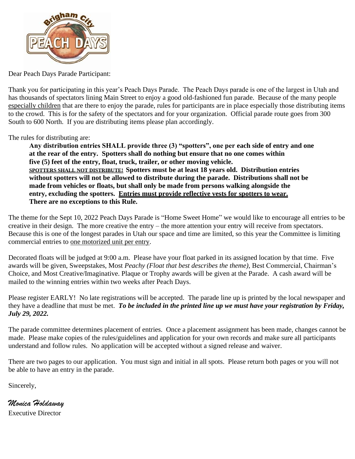

Dear Peach Days Parade Participant:

Thank you for participating in this year's Peach Days Parade. The Peach Days parade is one of the largest in Utah and has thousands of spectators lining Main Street to enjoy a good old-fashioned fun parade. Because of the many people especially children that are there to enjoy the parade, rules for participants are in place especially those distributing items to the crowd. This is for the safety of the spectators and for your organization. Official parade route goes from 300 South to 600 North. If you are distributing items please plan accordingly.

The rules for distributing are:

**Any distribution entries SHALL provide three (3) "spotters", one per each side of entry and one at the rear of the entry. Spotters shall do nothing but ensure that no one comes within five (5) feet of the entry, float, truck, trailer, or other moving vehicle. SPOTTERS SHALL NOT DISTRIBUTE! Spotters must be at least 18 years old. Distribution entries without spotters will not be allowed to distribute during the parade. Distributions shall not be made from vehicles or floats, but shall only be made from persons walking alongside the entry, excluding the spotters. Entries must provide reflective vests for spotters to wear. There are no exceptions to this Rule.** 

The theme for the Sept 10, 2022 Peach Days Parade is "Home Sweet Home" we would like to encourage all entries to be creative in their design. The more creative the entry – the more attention your entry will receive from spectators. Because this is one of the longest parades in Utah our space and time are limited, so this year the Committee is limiting commercial entries to one motorized unit per entry.

Decorated floats will be judged at 9:00 a.m. Please have your float parked in its assigned location by that time. Five awards will be given, Sweepstakes, Most *Peachy (Float that best describes the theme),* Best Commercial, Chairman's Choice, and Most Creative/Imaginative. Plaque or Trophy awards will be given at the Parade. A cash award will be mailed to the winning entries within two weeks after Peach Days.

Please register EARLY! No late registrations will be accepted. The parade line up is printed by the local newspaper and they have a deadline that must be met. *To be included in the printed line up we must have your registration by Friday, July 29, 2022.*

The parade committee determines placement of entries. Once a placement assignment has been made, changes cannot be made. Please make copies of the rules/guidelines and application for your own records and make sure all participants understand and follow rules. No application will be accepted without a signed release and waiver.

There are two pages to our application. You must sign and initial in all spots. Please return both pages or you will not be able to have an entry in the parade.

Sincerely,

*Monica Holdaway* Executive Director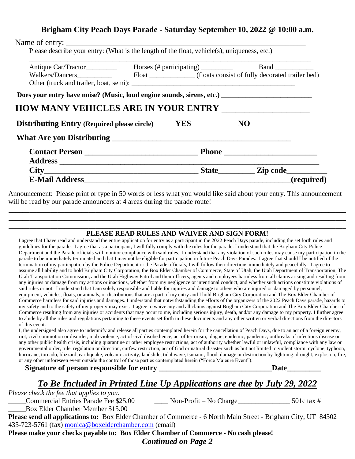## **Brigham City Peach Days Parade - Saturday September 10, 2022 @ 10:00 a.m.**

| Walkers/Dancers Float Float (floats consist of fully decorated trailer bed) |            |           |  |
|-----------------------------------------------------------------------------|------------|-----------|--|
|                                                                             |            |           |  |
|                                                                             |            |           |  |
|                                                                             |            |           |  |
|                                                                             |            |           |  |
|                                                                             |            |           |  |
| <b>Distributing Entry (Required please circle)</b>                          | <b>YES</b> | <b>NO</b> |  |
|                                                                             |            |           |  |
|                                                                             |            |           |  |
|                                                                             |            |           |  |
|                                                                             |            |           |  |

Announcement: Please print or type in 50 words or less what you would like said about your entry. This announcement will be read by our parade announcers at 4 areas during the parade route!

\_\_\_\_\_\_\_\_\_\_\_\_\_\_\_\_\_\_\_\_\_\_\_\_\_\_\_\_\_\_\_\_\_\_\_\_\_\_\_\_\_\_\_\_\_\_\_\_\_\_\_\_\_\_\_\_\_\_\_\_\_\_\_\_\_\_\_\_\_\_\_\_\_\_\_\_\_\_\_\_\_\_\_\_\_\_\_\_\_\_\_\_\_\_\_\_\_  $\overline{\phantom{a}}$  , and the contribution of the contribution of the contribution of the contribution of the contribution of the contribution of the contribution of the contribution of the contribution of the contribution of the

### \_\_\_\_\_\_\_\_\_\_\_\_\_\_\_\_\_\_\_\_\_\_\_\_\_\_\_\_\_\_\_\_\_\_\_\_\_\_\_\_\_\_\_\_\_\_\_\_\_\_\_\_\_\_\_\_\_\_\_\_\_\_\_\_\_\_\_\_\_\_\_\_\_\_\_\_\_\_\_\_\_\_\_\_\_\_\_\_\_\_\_\_\_\_\_\_\_ **PLEASE READ RULES AND WAIVER AND SIGN FORM!**

I agree that I have read and understand the entire application for entry as a participant in the 2022 Peach Days parade, including the set forth rules and guidelines for the parade. I agree that as a participant, I will fully comply with the rules for the parade. I understand that the Brigham City Police Department and the Parade officials will monitor compliance with said rules. I understand that any violation of such rules may cause my participation in the parade to be immediately terminated and that I may not be eligible for participation in future Peach Days Parades. I agree that should I be notified of the termination of my participation by the Police Department or the Parade officials, I will follow their directions immediately and peacefully. I agree to assume all liability and to hold Brigham City Corporation, the Box Elder Chamber of Commerce, State of Utah, the Utah Department of Transportation, The Utah Transportation Commission, and the Utah Highway Patrol and their officers, agents and employees harmless from all claims arising and resulting from any injuries or damage from my actions or inactions, whether from my negligence or intentional conduct, and whether such actions constitute violations of said rules or not. I understand that I am solely responsible and liable for injuries and damage to others who are injured or damaged by personnel, equipment, vehicles, floats, or animals, or distributions that are a part of my entry and I hold Brigham City Corporation and The Box Elder Chamber of Commerce harmless for said injuries and damages. I understand that notwithstanding the efforts of the organizers of the 2022 Peach Days parade, hazards to my safety and to the safety of my property may exist. I agree to waive any and all claims against Brigham City Corporation and The Box Elder Chamber of Commerce resulting from any injuries or accidents that may occur to me, including serious injury, death, and/or any damage to my property. I further agree to abide by all the rules and regulations pertaining to these events set forth in these documents and any other written or verbal directions from the directors of this event.

I, the undersigned also agree to indemnify and release all parties contemplated herein for the cancellation of Peach Days, due to an act of a foreign enemy, riot, civil commotion or disorder, mob violence, act of civil disobedience, act of terrorism, plague, epidemic, pandemic, outbreaks of infectious disease or any other public health crisis, including quarantine or other employee restrictions, act of authority whether lawful or unlawful, compliance with any law or governmental order, rule, regulation or direction, curfew restriction, act of God or natural disaster such as but not limited to violent storm, cyclone, typhoon, hurricane, tornado, blizzard, earthquake, volcanic activity, landslide, tidal wave, tsunami, flood, damage or destruction by lightning, drought; explosion, fire, or any other unforeseen event outside the control of those parties contemplated herein ("Force Majeure Event").

Signature of person responsible for entry **the controllation of the controllation** of  $\mathbf{D}$ ate

# *To Be Included in Printed Line Up Applications are due by July 29, 2022*

*Please check the fee that applies to you.* 

\_\_\_\_\_Commercial Entries Parade Fee \$25.00 \_\_\_\_ Non-Profit – No Charge\_\_\_\_\_\_\_\_\_\_\_\_\_\_\_ 501c tax #

\_\_\_\_\_Box Elder Chamber Member \$15.00

**Please send all applications to:** Box Elder Chamber of Commerce - 6 North Main Street - Brigham City, UT 84302 435-723-5761 (fax) [monica@boxelderchamber.com](mailto:monica@boxelderchamber.com) (email)

**Please make your checks payable to: Box Elder Chamber of Commerce - No cash please!** *Continued on Page 2*